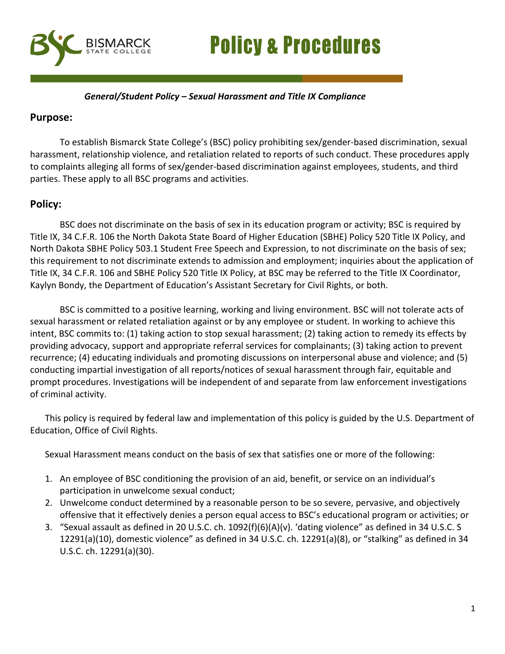# **Policy & Procedures**



## *General/Student Policy – Sexual Harassment and Title IX Compliance*

## **Purpose:**

To establish Bismarck State College's (BSC) policy prohibiting sex/gender-based discrimination, sexual harassment, relationship violence, and retaliation related to reports of such conduct. These procedures apply to complaints alleging all forms of sex/gender-based discrimination against employees, students, and third parties. These apply to all BSC programs and activities.

# **Policy:**

BSC does not discriminate on the basis of sex in its education program or activity; BSC is required by Title IX, 34 C.F.R. 106 the North Dakota State Board of Higher Education (SBHE) Policy 520 Title IX Policy, and North Dakota SBHE Policy 503.1 Student Free Speech and Expression, to not discriminate on the basis of sex; this requirement to not discriminate extends to admission and employment; inquiries about the application of Title IX, 34 C.F.R. 106 and SBHE Policy 520 Title IX Policy, at BSC may be referred to the Title IX Coordinator, Kaylyn Bondy, the Department of Education's Assistant Secretary for Civil Rights, or both.

BSC is committed to a positive learning, working and living environment. BSC will not tolerate acts of sexual harassment or related retaliation against or by any employee or student. In working to achieve this intent, BSC commits to: (1) taking action to stop sexual harassment; (2) taking action to remedy its effects by providing advocacy, support and appropriate referral services for complainants; (3) taking action to prevent recurrence; (4) educating individuals and promoting discussions on interpersonal abuse and violence; and (5) conducting impartial investigation of all reports/notices of sexual harassment through fair, equitable and prompt procedures. Investigations will be independent of and separate from law enforcement investigations of criminal activity.

This policy is required by federal law and implementation of this policy is guided by the U.S. Department of Education, Office of Civil Rights.

Sexual Harassment means conduct on the basis of sex that satisfies one or more of the following:

- 1. An employee of BSC conditioning the provision of an aid, benefit, or service on an individual's participation in unwelcome sexual conduct;
- 2. Unwelcome conduct determined by a reasonable person to be so severe, pervasive, and objectively offensive that it effectively denies a person equal access to BSC's educational program or activities; or
- 3. "Sexual assault as defined in 20 U.S.C. ch. 1092(f)(6)(A)(v). 'dating violence" as defined in 34 U.S.C. S 12291(a)(10), domestic violence" as defined in 34 U.S.C. ch. 12291(a)(8), or "stalking" as defined in 34 U.S.C. ch. 12291(a)(30).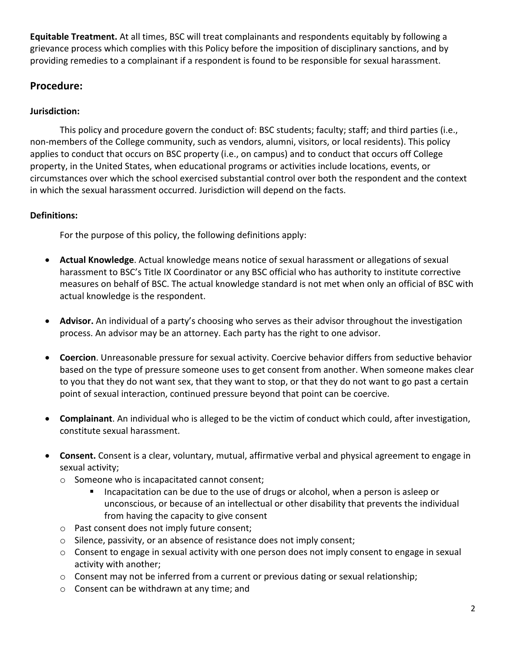**Equitable Treatment.** At all times, BSC will treat complainants and respondents equitably by following a grievance process which complies with this Policy before the imposition of disciplinary sanctions, and by providing remedies to a complainant if a respondent is found to be responsible for sexual harassment.

# **Procedure:**

## **Jurisdiction:**

This policy and procedure govern the conduct of: BSC students; faculty; staff; and third parties (i.e., non-members of the College community, such as vendors, alumni, visitors, or local residents). This policy applies to conduct that occurs on BSC property (i.e., on campus) and to conduct that occurs off College property, in the United States, when educational programs or activities include locations, events, or circumstances over which the school exercised substantial control over both the respondent and the context in which the sexual harassment occurred. Jurisdiction will depend on the facts.

## **Definitions:**

For the purpose of this policy, the following definitions apply:

- **Actual Knowledge**. Actual knowledge means notice of sexual harassment or allegations of sexual harassment to BSC's Title IX Coordinator or any BSC official who has authority to institute corrective measures on behalf of BSC. The actual knowledge standard is not met when only an official of BSC with actual knowledge is the respondent.
- **Advisor.** An individual of a party's choosing who serves as their advisor throughout the investigation process. An advisor may be an attorney. Each party has the right to one advisor.
- **Coercion**. Unreasonable pressure for sexual activity. Coercive behavior differs from seductive behavior based on the type of pressure someone uses to get consent from another. When someone makes clear to you that they do not want sex, that they want to stop, or that they do not want to go past a certain point of sexual interaction, continued pressure beyond that point can be coercive.
- **Complainant**. An individual who is alleged to be the victim of conduct which could, after investigation, constitute sexual harassment.
- **Consent.** Consent is a clear, voluntary, mutual, affirmative verbal and physical agreement to engage in sexual activity;
	- o Someone who is incapacitated cannot consent;
		- Incapacitation can be due to the use of drugs or alcohol, when a person is asleep or unconscious, or because of an intellectual or other disability that prevents the individual from having the capacity to give consent
	- o Past consent does not imply future consent;
	- o Silence, passivity, or an absence of resistance does not imply consent;
	- o Consent to engage in sexual activity with one person does not imply consent to engage in sexual activity with another;
	- o Consent may not be inferred from a current or previous dating or sexual relationship;
	- o Consent can be withdrawn at any time; and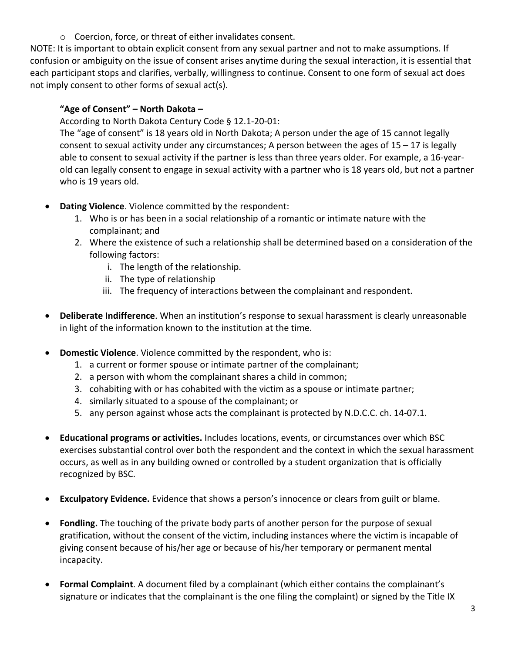o Coercion, force, or threat of either invalidates consent.

NOTE: It is important to obtain explicit consent from any sexual partner and not to make assumptions. If confusion or ambiguity on the issue of consent arises anytime during the sexual interaction, it is essential that each participant stops and clarifies, verbally, willingness to continue. Consent to one form of sexual act does not imply consent to other forms of sexual act(s).

## **"Age of Consent" – North Dakota –**

According to North Dakota Century Code § 12.1-20-01:

The "age of consent" is 18 years old in North Dakota; A person under the age of 15 cannot legally consent to sexual activity under any circumstances; A person between the ages of 15 – 17 is legally able to consent to sexual activity if the partner is less than three years older. For example, a 16-yearold can legally consent to engage in sexual activity with a partner who is 18 years old, but not a partner who is 19 years old.

- **Dating Violence**. Violence committed by the respondent:
	- 1. Who is or has been in a social relationship of a romantic or intimate nature with the complainant; and
	- 2. Where the existence of such a relationship shall be determined based on a consideration of the following factors:
		- i. The length of the relationship.
		- ii. The type of relationship
		- iii. The frequency of interactions between the complainant and respondent.
- **Deliberate Indifference**. When an institution's response to sexual harassment is clearly unreasonable in light of the information known to the institution at the time.
- **Pomestic Violence**. Violence committed by the respondent, who is:
	- 1. a current or former spouse or intimate partner of the complainant;
	- 2. a person with whom the complainant shares a child in common;
	- 3. cohabiting with or has cohabited with the victim as a spouse or intimate partner;
	- 4. similarly situated to a spouse of the complainant; or
	- 5. any person against whose acts the complainant is protected by N.D.C.C. ch. 14-07.1.
- **Educational programs or activities.** Includes locations, events, or circumstances over which BSC exercises substantial control over both the respondent and the context in which the sexual harassment occurs, as well as in any building owned or controlled by a student organization that is officially recognized by BSC.
- **Exculpatory Evidence.** Evidence that shows a person's innocence or clears from guilt or blame.
- **Fondling.** The touching of the private body parts of another person for the purpose of sexual gratification, without the consent of the victim, including instances where the victim is incapable of giving consent because of his/her age or because of his/her temporary or permanent mental incapacity.
- **Formal Complaint**. A document filed by a complainant (which either contains the complainant's signature or indicates that the complainant is the one filing the complaint) or signed by the Title IX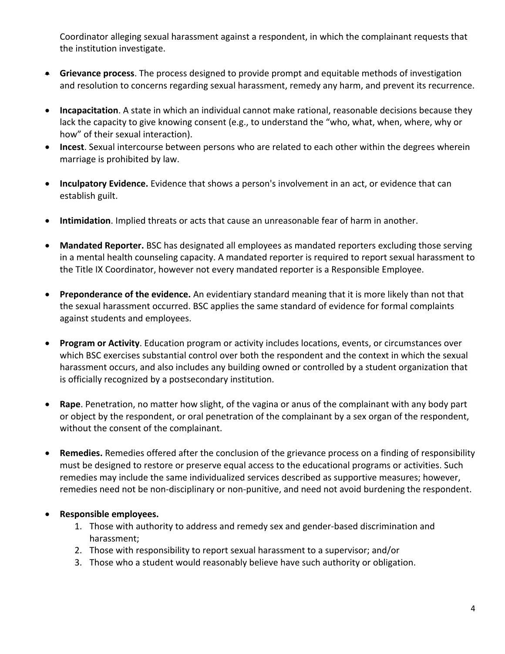Coordinator alleging sexual harassment against a respondent, in which the complainant requests that the institution investigate.

- **Grievance process**. The process designed to provide prompt and equitable methods of investigation and resolution to concerns regarding sexual harassment, remedy any harm, and prevent its recurrence.
- **Incapacitation**. A state in which an individual cannot make rational, reasonable decisions because they lack the capacity to give knowing consent (e.g., to understand the "who, what, when, where, why or how" of their sexual interaction).
- **Incest**. Sexual intercourse between persons who are related to each other within the degrees wherein marriage is prohibited by law.
- **Inculpatory Evidence.** Evidence that shows a person's involvement in an act, or evidence that can establish guilt.
- **Intimidation**. Implied threats or acts that cause an unreasonable fear of harm in another.
- **Mandated Reporter.** BSC has designated all employees as mandated reporters excluding those serving in a mental health counseling capacity. A mandated reporter is required to report sexual harassment to the Title IX Coordinator, however not every mandated reporter is a Responsible Employee.
- **Preponderance of the evidence.** An evidentiary standard meaning that it is more likely than not that the sexual harassment occurred. BSC applies the same standard of evidence for formal complaints against students and employees.
- **Program or Activity**. Education program or activity includes locations, events, or circumstances over which BSC exercises substantial control over both the respondent and the context in which the sexual harassment occurs, and also includes any building owned or controlled by a student organization that is officially recognized by a postsecondary institution.
- **Rape**. Penetration, no matter how slight, of the vagina or anus of the complainant with any body part or object by the respondent, or oral penetration of the complainant by a sex organ of the respondent, without the consent of the complainant.
- **Remedies.** Remedies offered after the conclusion of the grievance process on a finding of responsibility must be designed to restore or preserve equal access to the educational programs or activities. Such remedies may include the same individualized services described as supportive measures; however, remedies need not be non-disciplinary or non-punitive, and need not avoid burdening the respondent.

## • **Responsible employees.**

- 1. Those with authority to address and remedy sex and gender-based discrimination and harassment;
- 2. Those with responsibility to report sexual harassment to a supervisor; and/or
- 3. Those who a student would reasonably believe have such authority or obligation.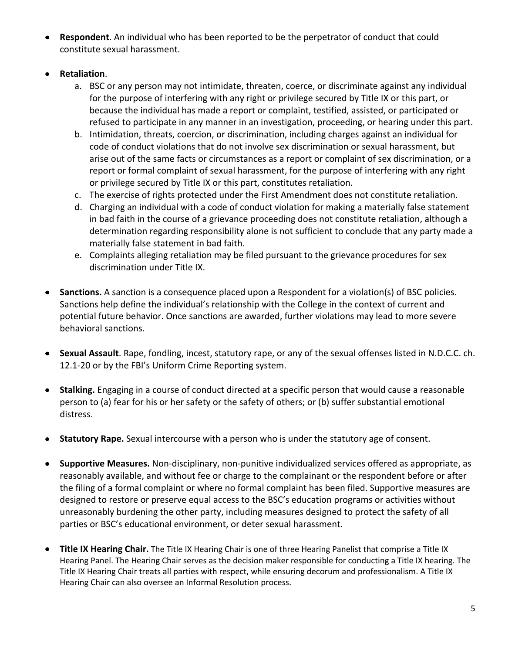- **Respondent**. An individual who has been reported to be the perpetrator of conduct that could constitute sexual harassment.
- **Retaliation**.
	- a. BSC or any person may not intimidate, threaten, coerce, or discriminate against any individual for the purpose of interfering with any right or privilege secured by Title IX or this part, or because the individual has made a report or complaint, testified, assisted, or participated or refused to participate in any manner in an investigation, proceeding, or hearing under this part.
	- b. Intimidation, threats, coercion, or discrimination, including charges against an individual for code of conduct violations that do not involve sex discrimination or sexual harassment, but arise out of the same facts or circumstances as a report or complaint of sex discrimination, or a report or formal complaint of sexual harassment, for the purpose of interfering with any right or privilege secured by Title IX or this part, constitutes retaliation.
	- c. The exercise of rights protected under the First Amendment does not constitute retaliation.
	- d. Charging an individual with a code of conduct violation for making a materially false statement in bad faith in the course of a grievance proceeding does not constitute retaliation, although a determination regarding responsibility alone is not sufficient to conclude that any party made a materially false statement in bad faith.
	- e. Complaints alleging retaliation may be filed pursuant to the grievance procedures for sex discrimination under Title IX.
- **Sanctions.** A sanction is a consequence placed upon a Respondent for a violation(s) of BSC policies. Sanctions help define the individual's relationship with the College in the context of current and potential future behavior. Once sanctions are awarded, further violations may lead to more severe behavioral sanctions.
- **Sexual Assault**. Rape, fondling, incest, statutory rape, or any of the sexual offenses listed in N.D.C.C. ch. 12.1-20 or by the FBI's Uniform Crime Reporting system.
- **Stalking.** Engaging in a course of conduct directed at a specific person that would cause a reasonable person to (a) fear for his or her safety or the safety of others; or (b) suffer substantial emotional distress.
- **Statutory Rape.** Sexual intercourse with a person who is under the statutory age of consent.
- **Supportive Measures.** Non-disciplinary, non-punitive individualized services offered as appropriate, as reasonably available, and without fee or charge to the complainant or the respondent before or after the filing of a formal complaint or where no formal complaint has been filed. Supportive measures are designed to restore or preserve equal access to the BSC's education programs or activities without unreasonably burdening the other party, including measures designed to protect the safety of all parties or BSC's educational environment, or deter sexual harassment.
- **Title IX Hearing Chair.** The Title IX Hearing Chair is one of three Hearing Panelist that comprise a Title IX Hearing Panel. The Hearing Chair serves as the decision maker responsible for conducting a Title IX hearing. The Title IX Hearing Chair treats all parties with respect, while ensuring decorum and professionalism. A Title IX Hearing Chair can also oversee an Informal Resolution process.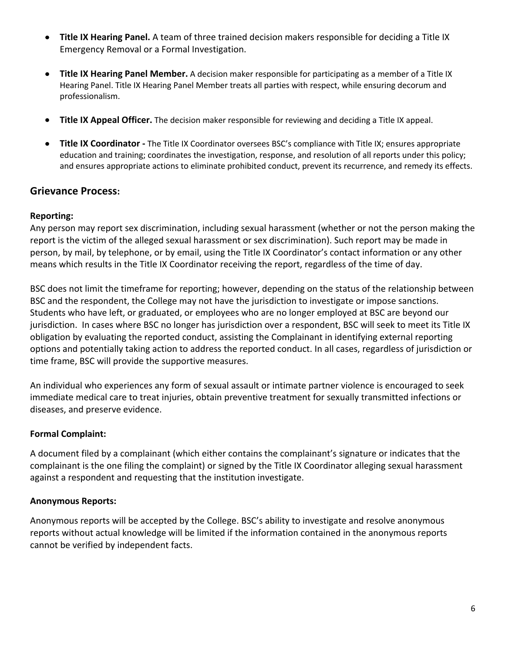- **Title IX Hearing Panel.** A team of three trained decision makers responsible for deciding a Title IX Emergency Removal or a Formal Investigation.
- **Title IX Hearing Panel Member.** A decision maker responsible for participating as a member of a Title IX Hearing Panel. Title IX Hearing Panel Member treats all parties with respect, while ensuring decorum and professionalism.
- **Title IX Appeal Officer.** The decision maker responsible for reviewing and deciding a Title IX appeal.
- **Title IX Coordinator -** The Title IX Coordinator oversees BSC's compliance with Title IX; ensures appropriate education and training; coordinates the investigation, response, and resolution of all reports under this policy; and ensures appropriate actions to eliminate prohibited conduct, prevent its recurrence, and remedy its effects.

## **Grievance Process:**

### **Reporting:**

Any person may report sex discrimination, including sexual harassment (whether or not the person making the report is the victim of the alleged sexual harassment or sex discrimination). Such report may be made in person, by mail, by telephone, or by email, using the Title IX Coordinator's contact information or any other means which results in the Title IX Coordinator receiving the report, regardless of the time of day.

BSC does not limit the timeframe for reporting; however, depending on the status of the relationship between BSC and the respondent, the College may not have the jurisdiction to investigate or impose sanctions. Students who have left, or graduated, or employees who are no longer employed at BSC are beyond our jurisdiction. In cases where BSC no longer has jurisdiction over a respondent, BSC will seek to meet its Title IX obligation by evaluating the reported conduct, assisting the Complainant in identifying external reporting options and potentially taking action to address the reported conduct. In all cases, regardless of jurisdiction or time frame, BSC will provide the supportive measures.

An individual who experiences any form of sexual assault or intimate partner violence is encouraged to seek immediate medical care to treat injuries, obtain preventive treatment for sexually transmitted infections or diseases, and preserve evidence.

#### **Formal Complaint:**

A document filed by a complainant (which either contains the complainant's signature or indicates that the complainant is the one filing the complaint) or signed by the Title IX Coordinator alleging sexual harassment against a respondent and requesting that the institution investigate.

#### **Anonymous Reports:**

Anonymous reports will be accepted by the College. BSC's ability to investigate and resolve anonymous reports without actual knowledge will be limited if the information contained in the anonymous reports cannot be verified by independent facts.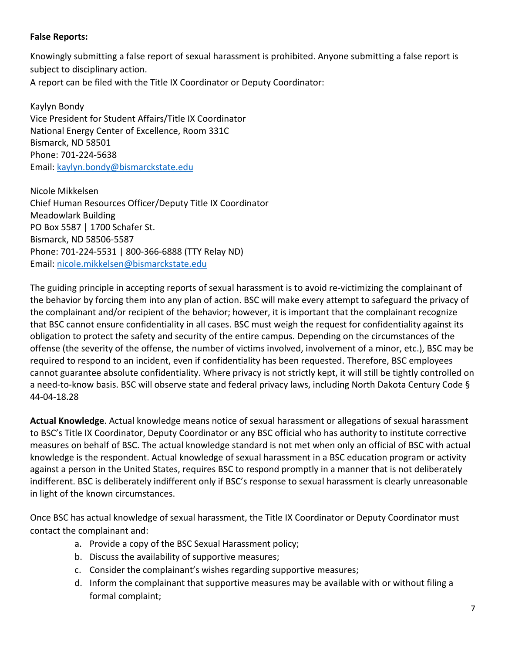# **False Reports:**

Knowingly submitting a false report of sexual harassment is prohibited. Anyone submitting a false report is subject to disciplinary action.

A report can be filed with the Title IX Coordinator or Deputy Coordinator:

Kaylyn Bondy Vice President for Student Affairs/Title IX Coordinator National Energy Center of Excellence, Room 331C Bismarck, ND 58501 Phone: 701-224-5638 Email: kaylyn.bondy@bismarckstate.edu

Nicole Mikkelsen Chief Human Resources Officer/Deputy Title IX Coordinator Meadowlark Building PO Box 5587 | 1700 Schafer St. Bismarck, ND 58506-5587 Phone: 701-224-5531 | 800-366-6888 (TTY Relay ND) Email: nicole.mikkelsen@bismarckstate.edu

The guiding principle in accepting reports of sexual harassment is to avoid re-victimizing the complainant of the behavior by forcing them into any plan of action. BSC will make every attempt to safeguard the privacy of the complainant and/or recipient of the behavior; however, it is important that the complainant recognize that BSC cannot ensure confidentiality in all cases. BSC must weigh the request for confidentiality against its obligation to protect the safety and security of the entire campus. Depending on the circumstances of the offense (the severity of the offense, the number of victims involved, involvement of a minor, etc.), BSC may be required to respond to an incident, even if confidentiality has been requested. Therefore, BSC employees cannot guarantee absolute confidentiality. Where privacy is not strictly kept, it will still be tightly controlled on a need-to-know basis. BSC will observe state and federal privacy laws, including North Dakota Century Code § 44-04-18.28

**Actual Knowledge**. Actual knowledge means notice of sexual harassment or allegations of sexual harassment to BSC's Title IX Coordinator, Deputy Coordinator or any BSC official who has authority to institute corrective measures on behalf of BSC. The actual knowledge standard is not met when only an official of BSC with actual knowledge is the respondent. Actual knowledge of sexual harassment in a BSC education program or activity against a person in the United States, requires BSC to respond promptly in a manner that is not deliberately indifferent. BSC is deliberately indifferent only if BSC's response to sexual harassment is clearly unreasonable in light of the known circumstances.

Once BSC has actual knowledge of sexual harassment, the Title IX Coordinator or Deputy Coordinator must contact the complainant and:

- a. Provide a copy of the BSC Sexual Harassment policy;
- b. Discuss the availability of supportive measures;
- c. Consider the complainant's wishes regarding supportive measures;
- d. Inform the complainant that supportive measures may be available with or without filing a formal complaint;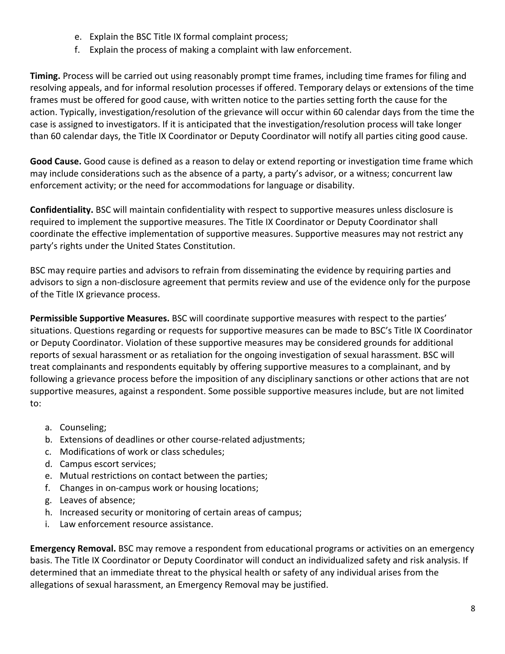- e. Explain the BSC Title IX formal complaint process;
- f. Explain the process of making a complaint with law enforcement.

**Timing.** Process will be carried out using reasonably prompt time frames, including time frames for filing and resolving appeals, and for informal resolution processes if offered. Temporary delays or extensions of the time frames must be offered for good cause, with written notice to the parties setting forth the cause for the action. Typically, investigation/resolution of the grievance will occur within 60 calendar days from the time the case is assigned to investigators. If it is anticipated that the investigation/resolution process will take longer than 60 calendar days, the Title IX Coordinator or Deputy Coordinator will notify all parties citing good cause.

**Good Cause.** Good cause is defined as a reason to delay or extend reporting or investigation time frame which may include considerations such as the absence of a party, a party's advisor, or a witness; concurrent law enforcement activity; or the need for accommodations for language or disability.

**Confidentiality.** BSC will maintain confidentiality with respect to supportive measures unless disclosure is required to implement the supportive measures. The Title IX Coordinator or Deputy Coordinator shall coordinate the effective implementation of supportive measures. Supportive measures may not restrict any party's rights under the United States Constitution.

BSC may require parties and advisors to refrain from disseminating the evidence by requiring parties and advisors to sign a non-disclosure agreement that permits review and use of the evidence only for the purpose of the Title IX grievance process.

**Permissible Supportive Measures.** BSC will coordinate supportive measures with respect to the parties' situations. Questions regarding or requests for supportive measures can be made to BSC's Title IX Coordinator or Deputy Coordinator. Violation of these supportive measures may be considered grounds for additional reports of sexual harassment or as retaliation for the ongoing investigation of sexual harassment. BSC will treat complainants and respondents equitably by offering supportive measures to a complainant, and by following a grievance process before the imposition of any disciplinary sanctions or other actions that are not supportive measures, against a respondent. Some possible supportive measures include, but are not limited to:

- a. Counseling;
- b. Extensions of deadlines or other course-related adjustments;
- c. Modifications of work or class schedules;
- d. Campus escort services;
- e. Mutual restrictions on contact between the parties;
- f. Changes in on-campus work or housing locations;
- g. Leaves of absence;
- h. Increased security or monitoring of certain areas of campus;
- i. Law enforcement resource assistance.

**Emergency Removal.** BSC may remove a respondent from educational programs or activities on an emergency basis. The Title IX Coordinator or Deputy Coordinator will conduct an individualized safety and risk analysis. If determined that an immediate threat to the physical health or safety of any individual arises from the allegations of sexual harassment, an Emergency Removal may be justified.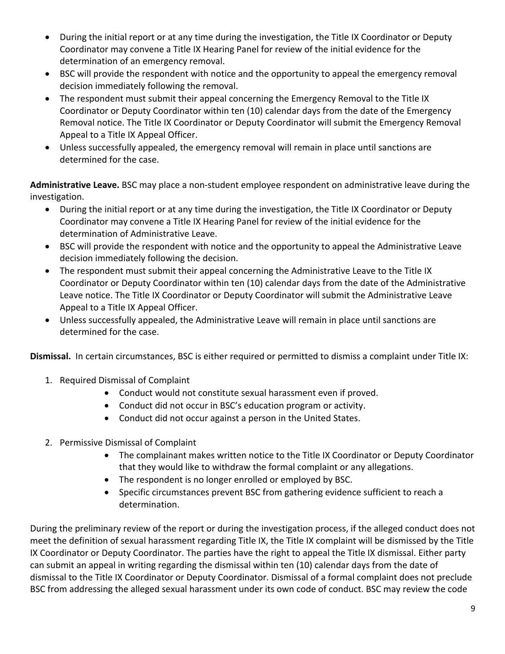- During the initial report or at any time during the investigation, the Title IX Coordinator or Deputy Coordinator may convene a Title IX Hearing Panel for review of the initial evidence for the determination of an emergency removal.
- BSC will provide the respondent with notice and the opportunity to appeal the emergency removal decision immediately following the removal.
- The respondent must submit their appeal concerning the Emergency Removal to the Title IX Coordinator or Deputy Coordinator within ten (10) calendar days from the date of the Emergency Removal notice. The Title IX Coordinator or Deputy Coordinator will submit the Emergency Removal Appeal to a Title IX Appeal Officer.
- Unless successfully appealed, the emergency removal will remain in place until sanctions are determined for the case.

**Administrative Leave.** BSC may place a non-student employee respondent on administrative leave during the investigation.

- During the initial report or at any time during the investigation, the Title IX Coordinator or Deputy Coordinator may convene a Title IX Hearing Panel for review of the initial evidence for the determination of Administrative Leave.
- BSC will provide the respondent with notice and the opportunity to appeal the Administrative Leave decision immediately following the decision.
- The respondent must submit their appeal concerning the Administrative Leave to the Title IX Coordinator or Deputy Coordinator within ten (10) calendar days from the date of the Administrative Leave notice. The Title IX Coordinator or Deputy Coordinator will submit the Administrative Leave Appeal to a Title IX Appeal Officer.
- Unless successfully appealed, the Administrative Leave will remain in place until sanctions are determined for the case.

**Dismissal.** In certain circumstances, BSC is either required or permitted to dismiss a complaint under Title IX:

- 1. Required Dismissal of Complaint
	- Conduct would not constitute sexual harassment even if proved.
	- Conduct did not occur in BSC's education program or activity.
	- Conduct did not occur against a person in the United States.
- 2. Permissive Dismissal of Complaint
	- The complainant makes written notice to the Title IX Coordinator or Deputy Coordinator that they would like to withdraw the formal complaint or any allegations.
	- The respondent is no longer enrolled or employed by BSC.
	- Specific circumstances prevent BSC from gathering evidence sufficient to reach a determination.

During the preliminary review of the report or during the investigation process, if the alleged conduct does not meet the definition of sexual harassment regarding Title IX, the Title IX complaint will be dismissed by the Title IX Coordinator or Deputy Coordinator. The parties have the right to appeal the Title IX dismissal. Either party can submit an appeal in writing regarding the dismissal within ten (10) calendar days from the date of dismissal to the Title IX Coordinator or Deputy Coordinator. Dismissal of a formal complaint does not preclude BSC from addressing the alleged sexual harassment under its own code of conduct. BSC may review the code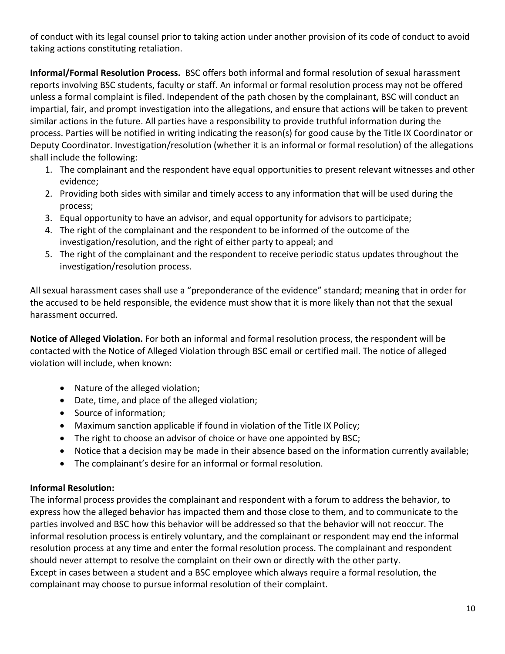of conduct with its legal counsel prior to taking action under another provision of its code of conduct to avoid taking actions constituting retaliation.

**Informal/Formal Resolution Process.** BSC offers both informal and formal resolution of sexual harassment reports involving BSC students, faculty or staff. An informal or formal resolution process may not be offered unless a formal complaint is filed. Independent of the path chosen by the complainant, BSC will conduct an impartial, fair, and prompt investigation into the allegations, and ensure that actions will be taken to prevent similar actions in the future. All parties have a responsibility to provide truthful information during the process. Parties will be notified in writing indicating the reason(s) for good cause by the Title IX Coordinator or Deputy Coordinator. Investigation/resolution (whether it is an informal or formal resolution) of the allegations shall include the following:

- 1. The complainant and the respondent have equal opportunities to present relevant witnesses and other evidence;
- 2. Providing both sides with similar and timely access to any information that will be used during the process;
- 3. Equal opportunity to have an advisor, and equal opportunity for advisors to participate;
- 4. The right of the complainant and the respondent to be informed of the outcome of the investigation/resolution, and the right of either party to appeal; and
- 5. The right of the complainant and the respondent to receive periodic status updates throughout the investigation/resolution process.

All sexual harassment cases shall use a "preponderance of the evidence" standard; meaning that in order for the accused to be held responsible, the evidence must show that it is more likely than not that the sexual harassment occurred.

**Notice of Alleged Violation.** For both an informal and formal resolution process, the respondent will be contacted with the Notice of Alleged Violation through BSC email or certified mail. The notice of alleged violation will include, when known:

- Nature of the alleged violation;
- Date, time, and place of the alleged violation;
- Source of information;
- Maximum sanction applicable if found in violation of the Title IX Policy;
- The right to choose an advisor of choice or have one appointed by BSC;
- Notice that a decision may be made in their absence based on the information currently available;
- The complainant's desire for an informal or formal resolution.

## **Informal Resolution:**

The informal process provides the complainant and respondent with a forum to address the behavior, to express how the alleged behavior has impacted them and those close to them, and to communicate to the parties involved and BSC how this behavior will be addressed so that the behavior will not reoccur. The informal resolution process is entirely voluntary, and the complainant or respondent may end the informal resolution process at any time and enter the formal resolution process. The complainant and respondent should never attempt to resolve the complaint on their own or directly with the other party. Except in cases between a student and a BSC employee which always require a formal resolution, the complainant may choose to pursue informal resolution of their complaint.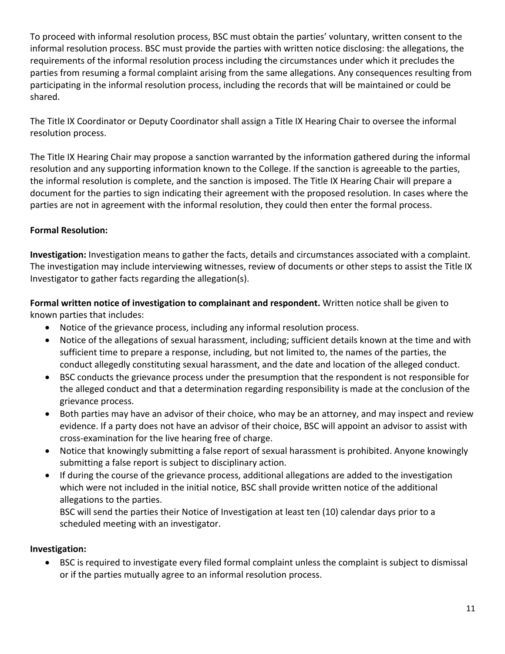To proceed with informal resolution process, BSC must obtain the parties' voluntary, written consent to the informal resolution process. BSC must provide the parties with written notice disclosing: the allegations, the requirements of the informal resolution process including the circumstances under which it precludes the parties from resuming a formal complaint arising from the same allegations. Any consequences resulting from participating in the informal resolution process, including the records that will be maintained or could be shared.

The Title IX Coordinator or Deputy Coordinator shall assign a Title IX Hearing Chair to oversee the informal resolution process.

The Title IX Hearing Chair may propose a sanction warranted by the information gathered during the informal resolution and any supporting information known to the College. If the sanction is agreeable to the parties, the informal resolution is complete, and the sanction is imposed. The Title IX Hearing Chair will prepare a document for the parties to sign indicating their agreement with the proposed resolution. In cases where the parties are not in agreement with the informal resolution, they could then enter the formal process.

## **Formal Resolution:**

**Investigation:** Investigation means to gather the facts, details and circumstances associated with a complaint. The investigation may include interviewing witnesses, review of documents or other steps to assist the Title IX Investigator to gather facts regarding the allegation(s).

**Formal written notice of investigation to complainant and respondent.** Written notice shall be given to known parties that includes:

- Notice of the grievance process, including any informal resolution process.
- Notice of the allegations of sexual harassment, including; sufficient details known at the time and with sufficient time to prepare a response, including, but not limited to, the names of the parties, the conduct allegedly constituting sexual harassment, and the date and location of the alleged conduct.
- BSC conducts the grievance process under the presumption that the respondent is not responsible for the alleged conduct and that a determination regarding responsibility is made at the conclusion of the grievance process.
- Both parties may have an advisor of their choice, who may be an attorney, and may inspect and review evidence. If a party does not have an advisor of their choice, BSC will appoint an advisor to assist with cross-examination for the live hearing free of charge.
- Notice that knowingly submitting a false report of sexual harassment is prohibited. Anyone knowingly submitting a false report is subject to disciplinary action.
- If during the course of the grievance process, additional allegations are added to the investigation which were not included in the initial notice, BSC shall provide written notice of the additional allegations to the parties.

BSC will send the parties their Notice of Investigation at least ten (10) calendar days prior to a scheduled meeting with an investigator.

## **Investigation:**

• BSC is required to investigate every filed formal complaint unless the complaint is subject to dismissal or if the parties mutually agree to an informal resolution process.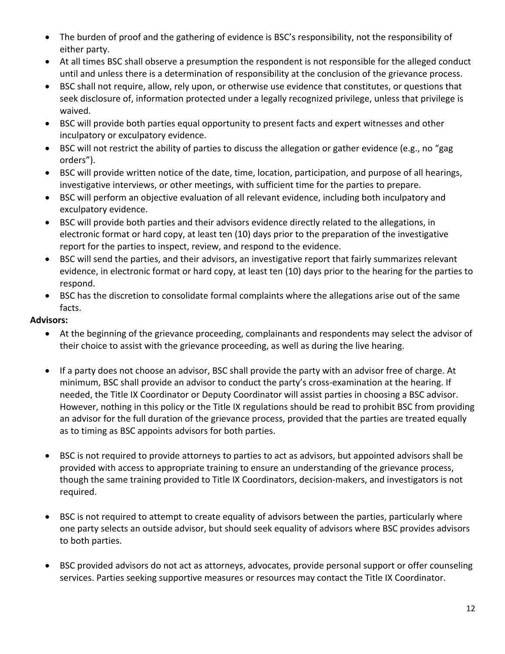- The burden of proof and the gathering of evidence is BSC's responsibility, not the responsibility of either party.
- At all times BSC shall observe a presumption the respondent is not responsible for the alleged conduct until and unless there is a determination of responsibility at the conclusion of the grievance process.
- BSC shall not require, allow, rely upon, or otherwise use evidence that constitutes, or questions that seek disclosure of, information protected under a legally recognized privilege, unless that privilege is waived.
- BSC will provide both parties equal opportunity to present facts and expert witnesses and other inculpatory or exculpatory evidence.
- BSC will not restrict the ability of parties to discuss the allegation or gather evidence (e.g., no "gag orders").
- BSC will provide written notice of the date, time, location, participation, and purpose of all hearings, investigative interviews, or other meetings, with sufficient time for the parties to prepare.
- BSC will perform an objective evaluation of all relevant evidence, including both inculpatory and exculpatory evidence.
- BSC will provide both parties and their advisors evidence directly related to the allegations, in electronic format or hard copy, at least ten (10) days prior to the preparation of the investigative report for the parties to inspect, review, and respond to the evidence.
- BSC will send the parties, and their advisors, an investigative report that fairly summarizes relevant evidence, in electronic format or hard copy, at least ten (10) days prior to the hearing for the parties to respond.
- BSC has the discretion to consolidate formal complaints where the allegations arise out of the same facts.

## **Advisors:**

- At the beginning of the grievance proceeding, complainants and respondents may select the advisor of their choice to assist with the grievance proceeding, as well as during the live hearing.
- If a party does not choose an advisor, BSC shall provide the party with an advisor free of charge. At minimum, BSC shall provide an advisor to conduct the party's cross-examination at the hearing. If needed, the Title IX Coordinator or Deputy Coordinator will assist parties in choosing a BSC advisor. However, nothing in this policy or the Title IX regulations should be read to prohibit BSC from providing an advisor for the full duration of the grievance process, provided that the parties are treated equally as to timing as BSC appoints advisors for both parties.
- BSC is not required to provide attorneys to parties to act as advisors, but appointed advisors shall be provided with access to appropriate training to ensure an understanding of the grievance process, though the same training provided to Title IX Coordinators, decision-makers, and investigators is not required.
- BSC is not required to attempt to create equality of advisors between the parties, particularly where one party selects an outside advisor, but should seek equality of advisors where BSC provides advisors to both parties.
- BSC provided advisors do not act as attorneys, advocates, provide personal support or offer counseling services. Parties seeking supportive measures or resources may contact the Title IX Coordinator.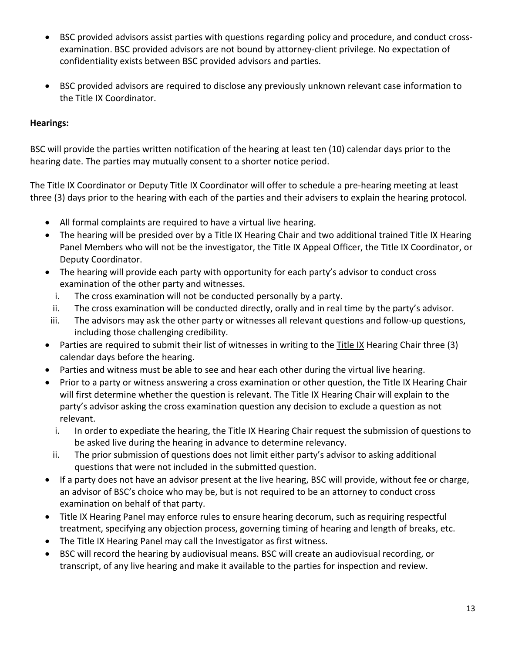- BSC provided advisors assist parties with questions regarding policy and procedure, and conduct crossexamination. BSC provided advisors are not bound by attorney-client privilege. No expectation of confidentiality exists between BSC provided advisors and parties.
- BSC provided advisors are required to disclose any previously unknown relevant case information to the Title IX Coordinator.

## **Hearings:**

BSC will provide the parties written notification of the hearing at least ten (10) calendar days prior to the hearing date. The parties may mutually consent to a shorter notice period.

The Title IX Coordinator or Deputy Title IX Coordinator will offer to schedule a pre-hearing meeting at least three (3) days prior to the hearing with each of the parties and their advisers to explain the hearing protocol.

- All formal complaints are required to have a virtual live hearing.
- The hearing will be presided over by a Title IX Hearing Chair and two additional trained Title IX Hearing Panel Members who will not be the investigator, the Title IX Appeal Officer, the Title IX Coordinator, or Deputy Coordinator.
- The hearing will provide each party with opportunity for each party's advisor to conduct cross examination of the other party and witnesses.
	- i. The cross examination will not be conducted personally by a party.
	- ii. The cross examination will be conducted directly, orally and in real time by the party's advisor.
- iii. The advisors may ask the other party or witnesses all relevant questions and follow-up questions, including those challenging credibility.
- Parties are required to submit their list of witnesses in writing to the Title IX Hearing Chair three (3) calendar days before the hearing.
- Parties and witness must be able to see and hear each other during the virtual live hearing.
- Prior to a party or witness answering a cross examination or other question, the Title IX Hearing Chair will first determine whether the question is relevant. The Title IX Hearing Chair will explain to the party's advisor asking the cross examination question any decision to exclude a question as not relevant.
	- i. In order to expediate the hearing, the Title IX Hearing Chair request the submission of questions to be asked live during the hearing in advance to determine relevancy.
	- ii. The prior submission of questions does not limit either party's advisor to asking additional questions that were not included in the submitted question.
- If a party does not have an advisor present at the live hearing, BSC will provide, without fee or charge, an advisor of BSC's choice who may be, but is not required to be an attorney to conduct cross examination on behalf of that party.
- Title IX Hearing Panel may enforce rules to ensure hearing decorum, such as requiring respectful treatment, specifying any objection process, governing timing of hearing and length of breaks, etc.
- The Title IX Hearing Panel may call the Investigator as first witness.
- BSC will record the hearing by audiovisual means. BSC will create an audiovisual recording, or transcript, of any live hearing and make it available to the parties for inspection and review.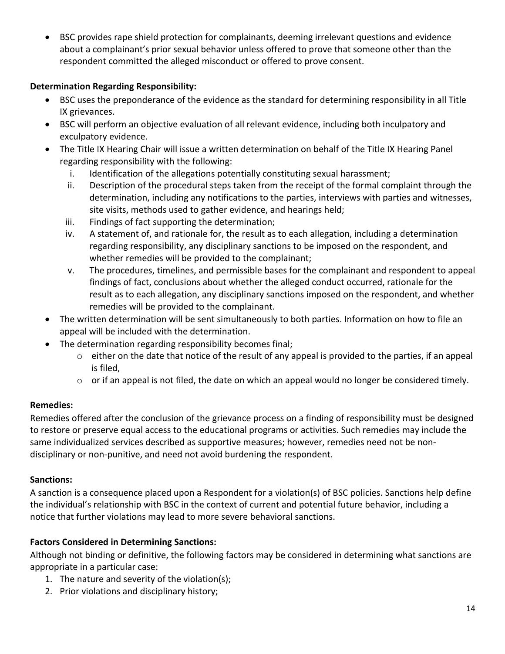• BSC provides rape shield protection for complainants, deeming irrelevant questions and evidence about a complainant's prior sexual behavior unless offered to prove that someone other than the respondent committed the alleged misconduct or offered to prove consent.

## **Determination Regarding Responsibility:**

- BSC uses the preponderance of the evidence as the standard for determining responsibility in all Title IX grievances.
- BSC will perform an objective evaluation of all relevant evidence, including both inculpatory and exculpatory evidence.
- The Title IX Hearing Chair will issue a written determination on behalf of the Title IX Hearing Panel regarding responsibility with the following:
	- i. Identification of the allegations potentially constituting sexual harassment;
	- ii. Description of the procedural steps taken from the receipt of the formal complaint through the determination, including any notifications to the parties, interviews with parties and witnesses, site visits, methods used to gather evidence, and hearings held;
	- iii. Findings of fact supporting the determination;
	- iv. A statement of, and rationale for, the result as to each allegation, including a determination regarding responsibility, any disciplinary sanctions to be imposed on the respondent, and whether remedies will be provided to the complainant;
	- v. The procedures, timelines, and permissible bases for the complainant and respondent to appeal findings of fact, conclusions about whether the alleged conduct occurred, rationale for the result as to each allegation, any disciplinary sanctions imposed on the respondent, and whether remedies will be provided to the complainant.
- The written determination will be sent simultaneously to both parties. Information on how to file an appeal will be included with the determination.
- The determination regarding responsibility becomes final;
	- o either on the date that notice of the result of any appeal is provided to the parties, if an appeal is filed,
	- $\circ$  or if an appeal is not filed, the date on which an appeal would no longer be considered timely.

## **Remedies:**

Remedies offered after the conclusion of the grievance process on a finding of responsibility must be designed to restore or preserve equal access to the educational programs or activities. Such remedies may include the same individualized services described as supportive measures; however, remedies need not be nondisciplinary or non-punitive, and need not avoid burdening the respondent.

## **Sanctions:**

A sanction is a consequence placed upon a Respondent for a violation(s) of BSC policies. Sanctions help define the individual's relationship with BSC in the context of current and potential future behavior, including a notice that further violations may lead to more severe behavioral sanctions.

## **Factors Considered in Determining Sanctions:**

Although not binding or definitive, the following factors may be considered in determining what sanctions are appropriate in a particular case:

- 1. The nature and severity of the violation(s);
- 2. Prior violations and disciplinary history;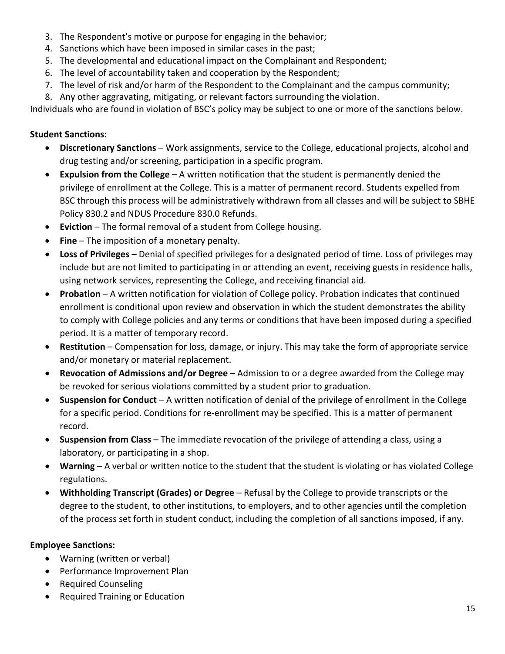- 3. The Respondent's motive or purpose for engaging in the behavior;
- 4. Sanctions which have been imposed in similar cases in the past;
- 5. The developmental and educational impact on the Complainant and Respondent;
- 6. The level of accountability taken and cooperation by the Respondent;
- 7. The level of risk and/or harm of the Respondent to the Complainant and the campus community;
- 8. Any other aggravating, mitigating, or relevant factors surrounding the violation.

Individuals who are found in violation of BSC's policy may be subject to one or more of the sanctions below.

# **Student Sanctions:**

- **Discretionary Sanctions**  Work assignments, service to the College, educational projects, alcohol and drug testing and/or screening, participation in a specific program.
- **Expulsion from the College** A written notification that the student is permanently denied the privilege of enrollment at the College. This is a matter of permanent record. Students expelled from BSC through this process will be administratively withdrawn from all classes and will be subject to SBHE Policy 830.2 and NDUS Procedure 830.0 Refunds.
- **Eviction** The formal removal of a student from College housing.
- **Fine** The imposition of a monetary penalty.
- **Loss of Privileges**  Denial of specified privileges for a designated period of time. Loss of privileges may include but are not limited to participating in or attending an event, receiving guests in residence halls, using network services, representing the College, and receiving financial aid.
- **Probation**  A written notification for violation of College policy. Probation indicates that continued enrollment is conditional upon review and observation in which the student demonstrates the ability to comply with College policies and any terms or conditions that have been imposed during a specified period. It is a matter of temporary record.
- **Restitution** Compensation for loss, damage, or injury. This may take the form of appropriate service and/or monetary or material replacement.
- **Revocation of Admissions and/or Degree**  Admission to or a degree awarded from the College may be revoked for serious violations committed by a student prior to graduation.
- **Suspension for Conduct** A written notification of denial of the privilege of enrollment in the College for a specific period. Conditions for re-enrollment may be specified. This is a matter of permanent record.
- **Suspension from Class** The immediate revocation of the privilege of attending a class, using a laboratory, or participating in a shop.
- **Warning** A verbal or written notice to the student that the student is violating or has violated College regulations.
- **Withholding Transcript (Grades) or Degree** Refusal by the College to provide transcripts or the degree to the student, to other institutions, to employers, and to other agencies until the completion of the process set forth in student conduct, including the completion of all sanctions imposed, if any.

## **Employee Sanctions:**

- Warning (written or verbal)
- Performance Improvement Plan
- Required Counseling
- Required Training or Education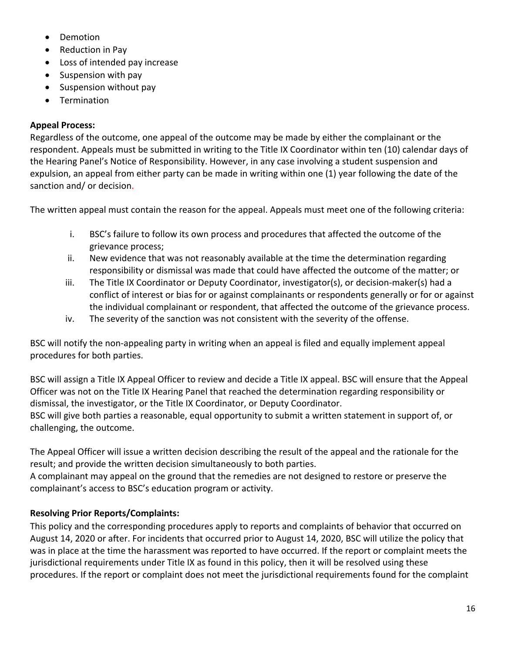- Demotion
- Reduction in Pay
- Loss of intended pay increase
- Suspension with pay
- Suspension without pay
- **Termination**

## **Appeal Process:**

Regardless of the outcome, one appeal of the outcome may be made by either the complainant or the respondent. Appeals must be submitted in writing to the Title IX Coordinator within ten (10) calendar days of the Hearing Panel's Notice of Responsibility. However, in any case involving a student suspension and expulsion, an appeal from either party can be made in writing within one (1) year following the date of the sanction and/ or decision.

The written appeal must contain the reason for the appeal. Appeals must meet one of the following criteria:

- i. BSC's failure to follow its own process and procedures that affected the outcome of the grievance process;
- ii. New evidence that was not reasonably available at the time the determination regarding responsibility or dismissal was made that could have affected the outcome of the matter; or
- iii. The Title IX Coordinator or Deputy Coordinator, investigator(s), or decision-maker(s) had a conflict of interest or bias for or against complainants or respondents generally or for or against the individual complainant or respondent, that affected the outcome of the grievance process.
- iv. The severity of the sanction was not consistent with the severity of the offense.

BSC will notify the non-appealing party in writing when an appeal is filed and equally implement appeal procedures for both parties.

BSC will assign a Title IX Appeal Officer to review and decide a Title IX appeal. BSC will ensure that the Appeal Officer was not on the Title IX Hearing Panel that reached the determination regarding responsibility or dismissal, the investigator, or the Title IX Coordinator, or Deputy Coordinator. BSC will give both parties a reasonable, equal opportunity to submit a written statement in support of, or challenging, the outcome.

The Appeal Officer will issue a written decision describing the result of the appeal and the rationale for the result; and provide the written decision simultaneously to both parties.

A complainant may appeal on the ground that the remedies are not designed to restore or preserve the complainant's access to BSC's education program or activity.

# **Resolving Prior Reports/Complaints:**

This policy and the corresponding procedures apply to reports and complaints of behavior that occurred on August 14, 2020 or after. For incidents that occurred prior to August 14, 2020, BSC will utilize the policy that was in place at the time the harassment was reported to have occurred. If the report or complaint meets the jurisdictional requirements under Title IX as found in this policy, then it will be resolved using these procedures. If the report or complaint does not meet the jurisdictional requirements found for the complaint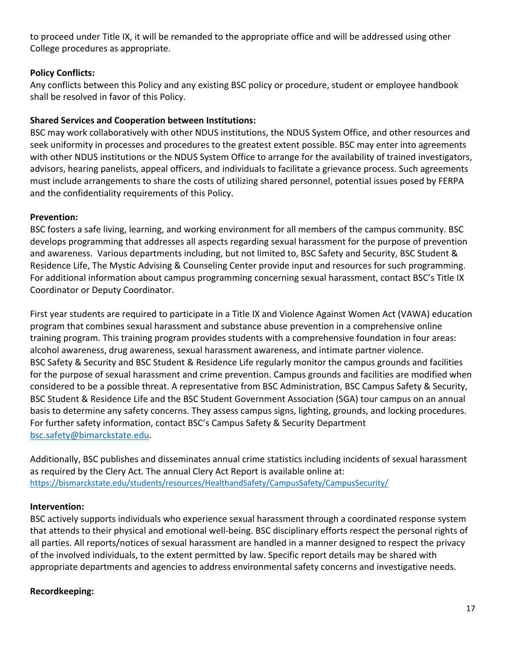to proceed under Title IX, it will be remanded to the appropriate office and will be addressed using other College procedures as appropriate.

## **Policy Conflicts:**

Any conflicts between this Policy and any existing BSC policy or procedure, student or employee handbook shall be resolved in favor of this Policy.

## **Shared Services and Cooperation between Institutions:**

BSC may work collaboratively with other NDUS institutions, the NDUS System Office, and other resources and seek uniformity in processes and procedures to the greatest extent possible. BSC may enter into agreements with other NDUS institutions or the NDUS System Office to arrange for the availability of trained investigators, advisors, hearing panelists, appeal officers, and individuals to facilitate a grievance process. Such agreements must include arrangements to share the costs of utilizing shared personnel, potential issues posed by FERPA and the confidentiality requirements of this Policy.

## **Prevention:**

BSC fosters a safe living, learning, and working environment for all members of the campus community. BSC develops programming that addresses all aspects regarding sexual harassment for the purpose of prevention and awareness. Various departments including, but not limited to, BSC Safety and Security, BSC Student & Residence Life, The Mystic Advising & Counseling Center provide input and resources for such programming. For additional information about campus programming concerning sexual harassment, contact BSC's Title IX Coordinator or Deputy Coordinator.

First year students are required to participate in a Title IX and Violence Against Women Act (VAWA) education program that combines sexual harassment and substance abuse prevention in a comprehensive online training program. This training program provides students with a comprehensive foundation in four areas: alcohol awareness, drug awareness, sexual harassment awareness, and intimate partner violence. BSC Safety & Security and BSC Student & Residence Life regularly monitor the campus grounds and facilities for the purpose of sexual harassment and crime prevention. Campus grounds and facilities are modified when considered to be a possible threat. A representative from BSC Administration, BSC Campus Safety & Security, BSC Student & Residence Life and the BSC Student Government Association (SGA) tour campus on an annual basis to determine any safety concerns. They assess campus signs, lighting, grounds, and locking procedures. For further safety information, contact BSC's Campus Safety & Security Department bsc.safety@bimarckstate.edu.

Additionally, BSC publishes and disseminates annual crime statistics including incidents of sexual harassment as required by the Clery Act. The annual Clery Act Report is available online at: https://bismarckstate.edu/students/resources/HealthandSafety/CampusSafety/CampusSecurity/

## **Intervention:**

BSC actively supports individuals who experience sexual harassment through a coordinated response system that attends to their physical and emotional well-being. BSC disciplinary efforts respect the personal rights of all parties. All reports/notices of sexual harassment are handled in a manner designed to respect the privacy of the involved individuals, to the extent permitted by law. Specific report details may be shared with appropriate departments and agencies to address environmental safety concerns and investigative needs.

## **Recordkeeping:**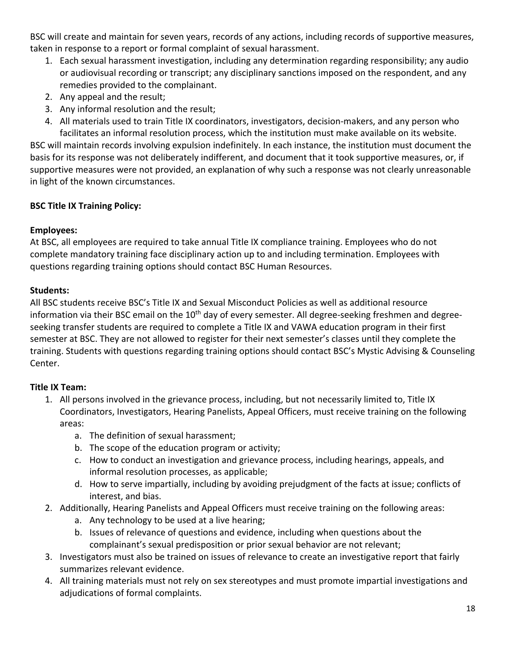BSC will create and maintain for seven years, records of any actions, including records of supportive measures, taken in response to a report or formal complaint of sexual harassment.

- 1. Each sexual harassment investigation, including any determination regarding responsibility; any audio or audiovisual recording or transcript; any disciplinary sanctions imposed on the respondent, and any remedies provided to the complainant.
- 2. Any appeal and the result;
- 3. Any informal resolution and the result;
- 4. All materials used to train Title IX coordinators, investigators, decision-makers, and any person who facilitates an informal resolution process, which the institution must make available on its website.

BSC will maintain records involving expulsion indefinitely. In each instance, the institution must document the basis for its response was not deliberately indifferent, and document that it took supportive measures, or, if supportive measures were not provided, an explanation of why such a response was not clearly unreasonable in light of the known circumstances.

# **BSC Title IX Training Policy:**

## **Employees:**

At BSC, all employees are required to take annual Title IX compliance training. Employees who do not complete mandatory training face disciplinary action up to and including termination. Employees with questions regarding training options should contact BSC Human Resources.

# **Students:**

All BSC students receive BSC's Title IX and Sexual Misconduct Policies as well as additional resource information via their BSC email on the  $10<sup>th</sup>$  day of every semester. All degree-seeking freshmen and degreeseeking transfer students are required to complete a Title IX and VAWA education program in their first semester at BSC. They are not allowed to register for their next semester's classes until they complete the training. Students with questions regarding training options should contact BSC's Mystic Advising & Counseling Center.

# **Title IX Team:**

- 1. All persons involved in the grievance process, including, but not necessarily limited to, Title IX Coordinators, Investigators, Hearing Panelists, Appeal Officers, must receive training on the following areas:
	- a. The definition of sexual harassment;
	- b. The scope of the education program or activity;
	- c. How to conduct an investigation and grievance process, including hearings, appeals, and informal resolution processes, as applicable;
	- d. How to serve impartially, including by avoiding prejudgment of the facts at issue; conflicts of interest, and bias.
- 2. Additionally, Hearing Panelists and Appeal Officers must receive training on the following areas:
	- a. Any technology to be used at a live hearing;
	- b. Issues of relevance of questions and evidence, including when questions about the complainant's sexual predisposition or prior sexual behavior are not relevant;
- 3. Investigators must also be trained on issues of relevance to create an investigative report that fairly summarizes relevant evidence.
- 4. All training materials must not rely on sex stereotypes and must promote impartial investigations and adjudications of formal complaints.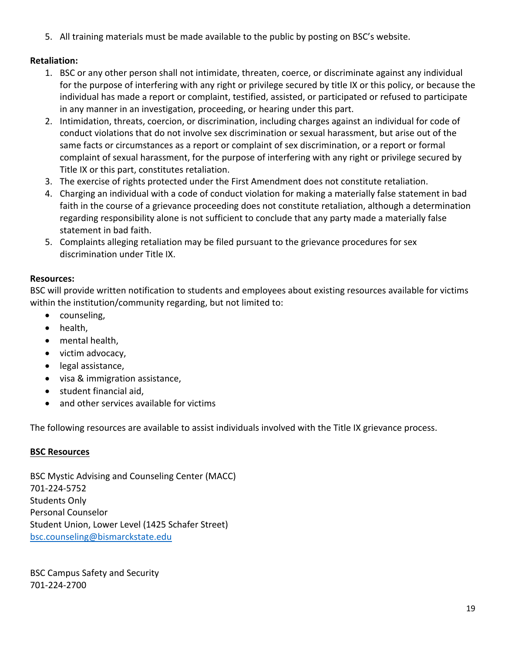5. All training materials must be made available to the public by posting on BSC's website.

## **Retaliation:**

- 1. BSC or any other person shall not intimidate, threaten, coerce, or discriminate against any individual for the purpose of interfering with any right or privilege secured by title IX or this policy, or because the individual has made a report or complaint, testified, assisted, or participated or refused to participate in any manner in an investigation, proceeding, or hearing under this part.
- 2. Intimidation, threats, coercion, or discrimination, including charges against an individual for code of conduct violations that do not involve sex discrimination or sexual harassment, but arise out of the same facts or circumstances as a report or complaint of sex discrimination, or a report or formal complaint of sexual harassment, for the purpose of interfering with any right or privilege secured by Title IX or this part, constitutes retaliation.
- 3. The exercise of rights protected under the First Amendment does not constitute retaliation.
- 4. Charging an individual with a code of conduct violation for making a materially false statement in bad faith in the course of a grievance proceeding does not constitute retaliation, although a determination regarding responsibility alone is not sufficient to conclude that any party made a materially false statement in bad faith.
- 5. Complaints alleging retaliation may be filed pursuant to the grievance procedures for sex discrimination under Title IX.

## **Resources:**

BSC will provide written notification to students and employees about existing resources available for victims within the institution/community regarding, but not limited to:

- counseling,
- health,
- mental health,
- victim advocacy,
- legal assistance,
- visa & immigration assistance,
- student financial aid,
- and other services available for victims

The following resources are available to assist individuals involved with the Title IX grievance process.

## **BSC Resources**

BSC Mystic Advising and Counseling Center (MACC) 701-224-5752 Students Only Personal Counselor Student Union, Lower Level (1425 Schafer Street) bsc.counseling@bismarckstate.edu

BSC Campus Safety and Security 701-224-2700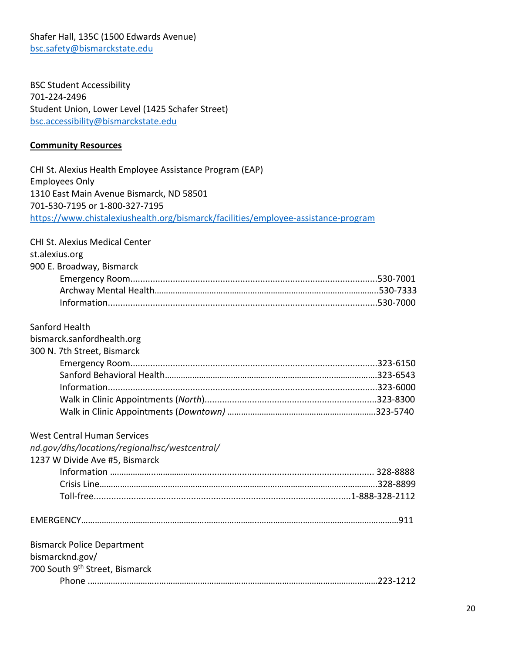Shafer Hall, 135C (1500 Edwards Avenue) bsc.safety@bismarckstate.edu

BSC Student Accessibility 701-224-2496 Student Union, Lower Level (1425 Schafer Street) bsc.accessibility@bismarckstate.edu

#### **Community Resources**

CHI St. Alexius Health Employee Assistance Program (EAP) Employees Only 1310 East Main Avenue Bismarck, ND 58501 701-530-7195 or 1-800-327-7195 https://www.chistalexiushealth.org/bismarck/facilities/employee-assistance-program

# CHI St. Alexius Medical Center st.alexius.org 900 E. Broadway, Bismarck Emergency Room...................................................................................................530-7001 Archway Mental Health………………………………………………………………..……….…………..530-7333 Information............................................................................................................530-7000 Sanford Health bismarck.sanfordhealth.org 300 N. 7th Street, Bismarck Emergency Room...................................................................................................323-6150 Sanford Behavioral Health………………………………………………………………..……………….323-6543 Information............................................................................................................323-6000 Walk in Clinic Appointments (*North*).....................................................................323-8300 Walk in Clinic Appointments (*Downtown)* ……………………………………………….……….323-5740 West Central Human Services *nd.gov/dhs/locations/regionalhsc/westcentral/* 1237 W Divide Ave #5, Bismarck Information ………………..………………....................................................................... 328-8888 Crisis Line……………………………………………………………………………….………………………….328-8899 Toll-free.......................................................................................................1-888-328-2112 EMERGENCY……………………………………………….…………………..……………….……………………………………911 Bismarck Police Department bismarcknd.gov/ 700 South 9<sup>th</sup> Street, Bismarck

Phone .………….……………..……………………………………………………………………………………223-1212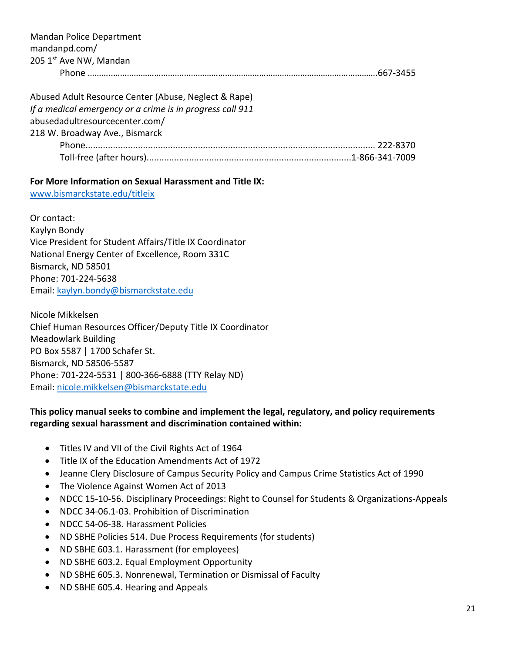| Mandan Police Department<br>mandanpd.com/<br>205 1st Ave NW, Mandan                                               |  |
|-------------------------------------------------------------------------------------------------------------------|--|
| Abused Adult Resource Center (Abuse, Neglect & Rape)<br>If a medical emergency or a crime is in progress call 911 |  |

abusedadultresourcecenter.com/ 218 W. Broadway Ave., Bismarck

| DI OQU ,  , DISITIOI CK |  |
|-------------------------|--|
|                         |  |
|                         |  |

## **For More Information on Sexual Harassment and Title IX:**

www.bismarckstate.edu/titleix

Or contact: Kaylyn Bondy Vice President for Student Affairs/Title IX Coordinator National Energy Center of Excellence, Room 331C Bismarck, ND 58501 Phone: 701-224-5638 Email: kaylyn.bondy@bismarckstate.edu

Nicole Mikkelsen Chief Human Resources Officer/Deputy Title IX Coordinator Meadowlark Building PO Box 5587 | 1700 Schafer St. Bismarck, ND 58506-5587 Phone: 701-224-5531 | 800-366-6888 (TTY Relay ND) Email: nicole.mikkelsen@bismarckstate.edu

## **This policy manual seeks to combine and implement the legal, regulatory, and policy requirements regarding sexual harassment and discrimination contained within:**

- Titles IV and VII of the Civil Rights Act of 1964
- Title IX of the Education Amendments Act of 1972
- Jeanne Clery Disclosure of Campus Security Policy and Campus Crime Statistics Act of 1990
- The Violence Against Women Act of 2013
- NDCC 15-10-56. Disciplinary Proceedings: Right to Counsel for Students & Organizations-Appeals
- NDCC 34-06.1-03. Prohibition of Discrimination
- NDCC 54-06-38. Harassment Policies
- ND SBHE Policies 514. Due Process Requirements (for students)
- ND SBHE 603.1. Harassment (for employees)
- ND SBHE 603.2. Equal Employment Opportunity
- ND SBHE 605.3. Nonrenewal, Termination or Dismissal of Faculty
- ND SBHE 605.4. Hearing and Appeals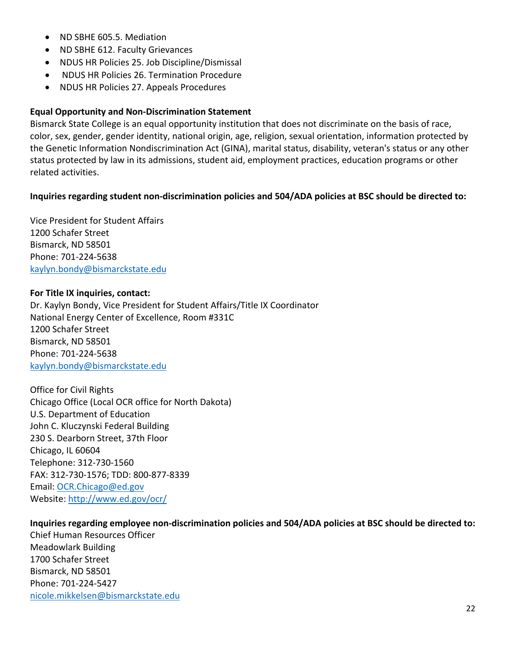- ND SBHE 605.5. Mediation
- ND SBHE 612. Faculty Grievances
- NDUS HR Policies 25. Job Discipline/Dismissal
- NDUS HR Policies 26. Termination Procedure
- NDUS HR Policies 27. Appeals Procedures

### **Equal Opportunity and Non-Discrimination Statement**

Bismarck State College is an equal opportunity institution that does not discriminate on the basis of race, color, sex, gender, gender identity, national origin, age, religion, sexual orientation, information protected by the Genetic Information Nondiscrimination Act (GINA), marital status, disability, veteran's status or any other status protected by law in its admissions, student aid, employment practices, education programs or other related activities.

#### **Inquiries regarding student non-discrimination policies and 504/ADA policies at BSC should be directed to:**

Vice President for Student Affairs 1200 Schafer Street Bismarck, ND 58501 Phone: 701-224-5638 kaylyn.bondy@bismarckstate.edu

#### **For Title IX inquiries, contact:**

Dr. Kaylyn Bondy, Vice President for Student Affairs/Title IX Coordinator National Energy Center of Excellence, Room #331C 1200 Schafer Street Bismarck, ND 58501 Phone: 701-224-5638 kaylyn.bondy@bismarckstate.edu

Office for Civil Rights Chicago Office (Local OCR office for North Dakota) U.S. Department of Education John C. Kluczynski Federal Building 230 S. Dearborn Street, 37th Floor Chicago, IL 60604 Telephone: 312-730-1560 FAX: 312-730-1576; TDD: 800-877-8339 Email: OCR.Chicago@ed.gov Website: http://www.ed.gov/ocr/

#### **Inquiries regarding employee non-discrimination policies and 504/ADA policies at BSC should be directed to:**

Chief Human Resources Officer Meadowlark Building 1700 Schafer Street Bismarck, ND 58501 Phone: 701-224-5427 nicole.mikkelsen@bismarckstate.edu